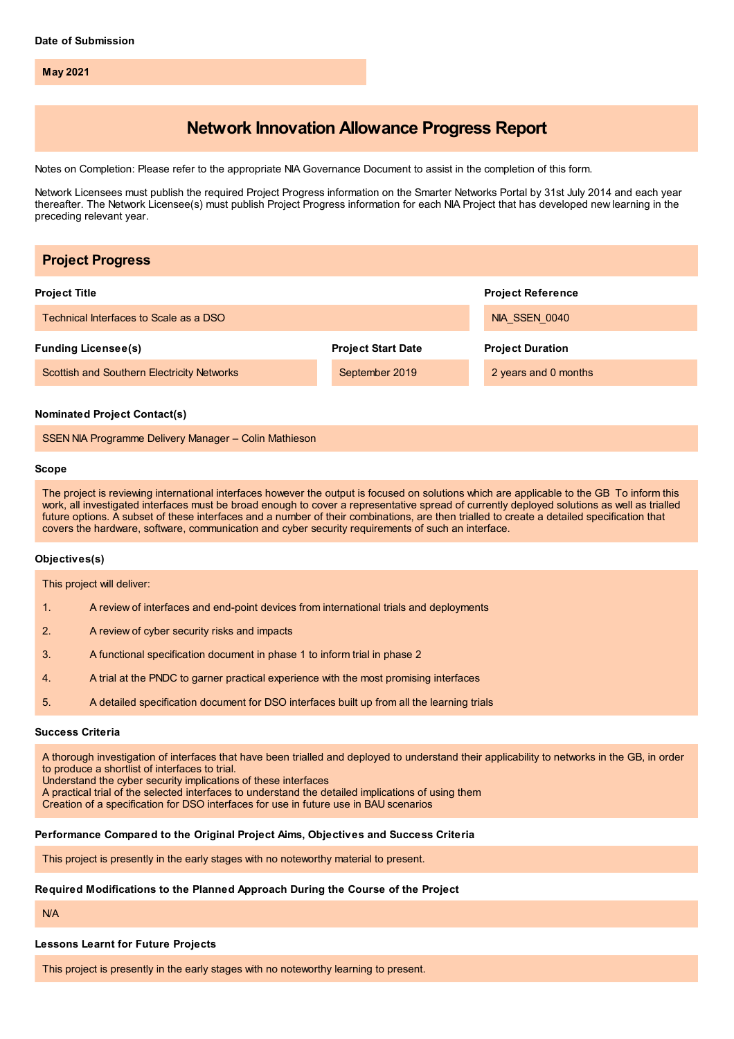**May 2021**

# **Network Innovation Allowance Progress Report**

Notes on Completion: Please refer to the appropriate NIA Governance Document to assist in the completion of this form.

Network Licensees must publish the required Project Progress information on the Smarter Networks Portal by 31st July 2014 and each year thereafter. The Network Licensee(s) must publish Project Progress information for each NIA Project that has developed new learning in the preceding relevant year.

| <b>Project Progress</b>                                                                                                                                                                                                                                                                                                                                                                                                                                                                                                                       |                           |                          |
|-----------------------------------------------------------------------------------------------------------------------------------------------------------------------------------------------------------------------------------------------------------------------------------------------------------------------------------------------------------------------------------------------------------------------------------------------------------------------------------------------------------------------------------------------|---------------------------|--------------------------|
| <b>Project Title</b>                                                                                                                                                                                                                                                                                                                                                                                                                                                                                                                          |                           | <b>Project Reference</b> |
| Technical Interfaces to Scale as a DSO                                                                                                                                                                                                                                                                                                                                                                                                                                                                                                        |                           | NIA SSEN 0040            |
| <b>Funding Licensee(s)</b>                                                                                                                                                                                                                                                                                                                                                                                                                                                                                                                    | <b>Project Start Date</b> | <b>Project Duration</b>  |
| <b>Scottish and Southern Electricity Networks</b>                                                                                                                                                                                                                                                                                                                                                                                                                                                                                             | September 2019            | 2 years and 0 months     |
| <b>Nominated Project Contact(s)</b><br>SSEN NIA Programme Delivery Manager - Colin Mathieson                                                                                                                                                                                                                                                                                                                                                                                                                                                  |                           |                          |
| Scope                                                                                                                                                                                                                                                                                                                                                                                                                                                                                                                                         |                           |                          |
| The project is reviewing international interfaces however the output is focused on solutions which are applicable to the GB To inform this<br>work, all investigated interfaces must be broad enough to cover a representative spread of currently deployed solutions as well as trialled<br>future options. A subset of these interfaces and a number of their combinations, are then trialled to create a detailed specification that<br>covers the hardware, software, communication and cyber security requirements of such an interface. |                           |                          |
| Objectives(s)                                                                                                                                                                                                                                                                                                                                                                                                                                                                                                                                 |                           |                          |

This project will deliver:

- 1. A review of interfaces and end-point devices from international trials and deployments
- 2. A review of cyber security risks and impacts
- 3. A functional specification document in phase 1 to inform trial in phase 2
- 4. A trial at the PNDC to garner practical experience with the most promising interfaces
- 5. A detailed specification document for DSO interfaces built up from all the learning trials

#### **Success Criteria**

A thorough investigation of interfaces that have been trialled and deployed to understand their applicability to networks in the GB, in order to produce a shortlist of interfaces to trial.

Understand the cyber security implications of these interfaces

A practical trial of the selected interfaces to understand the detailed implications of using them

Creation of a specification for DSO interfaces for use in future use in BAU scenarios

#### **Performance Compared to the Original Project Aims, Objectives and Success Criteria**

This project is presently in the early stages with no noteworthy material to present.

### **Required Modifications to the Planned Approach During the Course of the Project**

N/A

# **Lessons Learnt for Future Projects**

This project is presently in the early stages with no noteworthy learning to present.